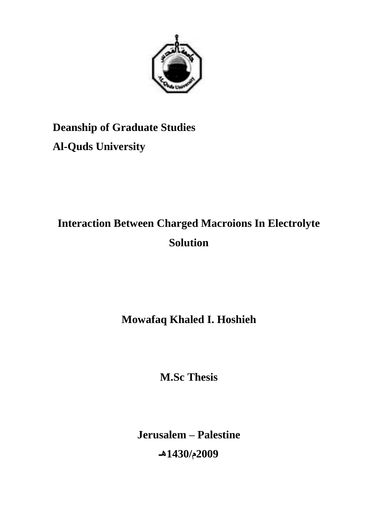

## **Deanship of Graduate Studies Al-Quds University**

## **Interaction Between Charged Macroions In Electrolyte Solution**

## **Mowafaq Khaled I. Hoshieh**

**M.Sc Thesis**

**Jerusalem – Palestine 2009م1430/هـ**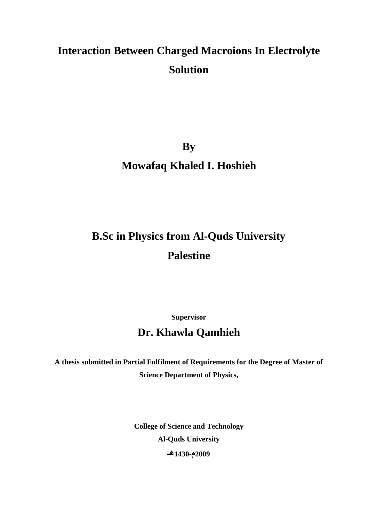## **Interaction Between Charged Macroions In Electrolyte Solution**

**By**

### **Mowafaq Khaled I. Hoshieh**

## **B.Sc in Physics from Al-Quds University Palestine**

**Supervisor**

### **Dr. Khawla Qamhieh**

**A thesis submitted in Partial Fulfilment of Requirements for the Degree of Master of Science Department of Physics,**

> **College of Science and Technology Al-Quds University 2009م1430-هـ**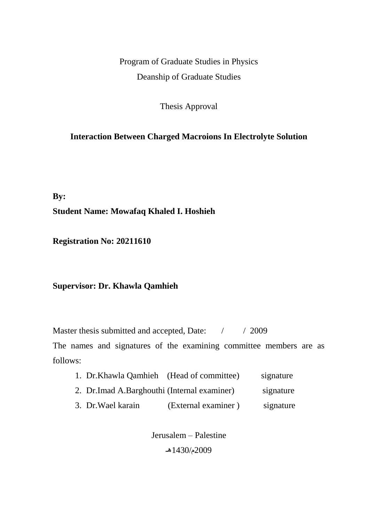Program of Graduate Studies in Physics Deanship of Graduate Studies

Thesis Approval

#### **Interaction Between Charged Macroions In Electrolyte Solution**

**By: Student Name: Mowafaq Khaled I. Hoshieh**

**Registration No: 20211610**

#### **Supervisor: Dr. Khawla Qamhieh**

Master thesis submitted and accepted, Date:  $\frac{1}{2009}$ 

The names and signatures of the examining committee members are as follows:

- 1. Dr.Khawla Qamhieh (Head of committee) signature
- 2. Dr.Imad A.Barghouthi (Internal examiner) signature
- 3. Dr.Wael karain (External examiner ) signature

Jerusalem – Palestine  $1430/2009$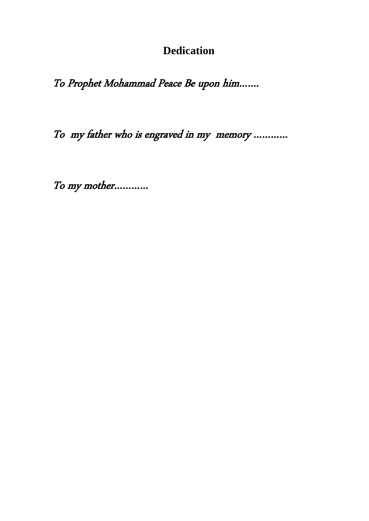### **Dedication**

To Prophet Mohammad Peace Be upon him…….

To my father who is engraved in my memory …………

To my mother…………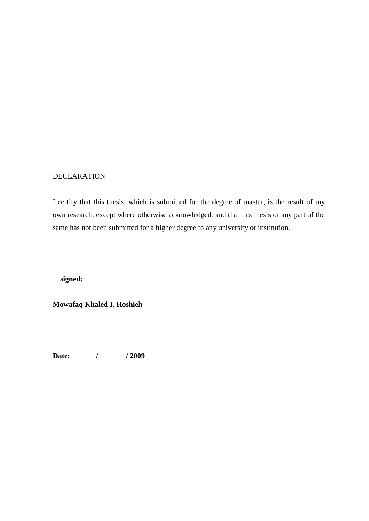#### DECLARATION

I certify that this thesis, which is submitted for the degree of master, is the result of my own research, except where otherwise acknowledged, and that this thesis or any part of the same has not been submitted for a higher degree to any university or institution.

 **signed:** 

**Mowafaq Khaled I. Hoshieh**

**Date: / / 2009**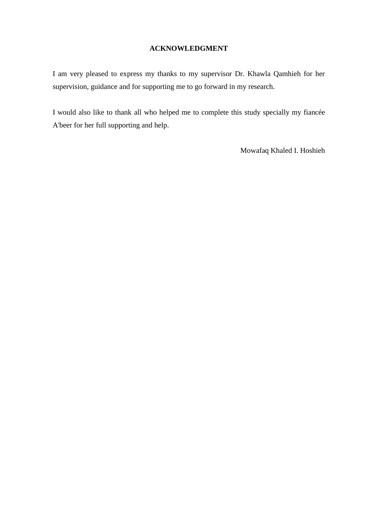#### **ACKNOWLEDGMENT**

I am very pleased to express my thanks to my supervisor Dr. Khawla Qamhieh for her supervision, guidance and for supporting me to go forward in my research.

I would also like to thank all who helped me to complete this study specially my fiancée A'beer for her full supporting and help.

Mowafaq Khaled I. Hoshieh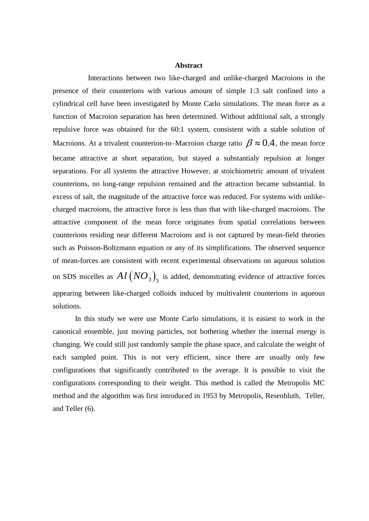#### **Abstract**

 Interactions between two like-charged and unlike-charged Macroions in the presence of their counterions with various amount of simple 1:3 salt confined into a cylindrical cell have been investigated by Monte Carlo simulations. The mean force as a function of Macroion separation has been determined. Without additional salt, a strongly repulsive force was obtained for the 60:1 system, consistent with a stable solution of Macroions. At a trivalent counterion-to–Macroion charge ratio  $\beta \approx 0.4$ , the mean force became attractive at short separation, but stayed a substantialy repulsion at longer separations. For all systems the attractive However, at stoichiometric amount of trivalent counterions, no long-range repulsion remained and the attraction became substantial. In excess of salt, the magnitude of the attractive force was reduced. For systems with unlikecharged macroions, the attractive force is less than that with like-charged macroions. The attractive component of the mean force originates from spatial correlations between counterions residing near different Macroions and is not captured by mean-field theories such as Poisson-Boltzmann equation or any of its simplifications. The observed sequence of mean-forces are consistent with recent experimental observations on aqueous solution on SDS micelles as  $Al\left( NO_{3}\right) _{3}$  is added, demonstrating evidence of attractive forces appearing between like-charged colloids induced by multivalent counterions in aqueous solutions.

In this study we were use Monte Carlo simulations, it is easiest to work in the canonical ensemble, just moving particles, not bothering whether the internal energy is changing. We could still just randomly sample the phase space, and calculate the weight of each sampled point. This is not very efficient, since there are usually only few configurations that significantly contributed to the average. It is possible to visit the configurations corresponding to their weight. This method is called the Metropolis MC method and the algorithm was first introduced in 1953 by Metropolis, Resenbluth, Teller, and Teller (6).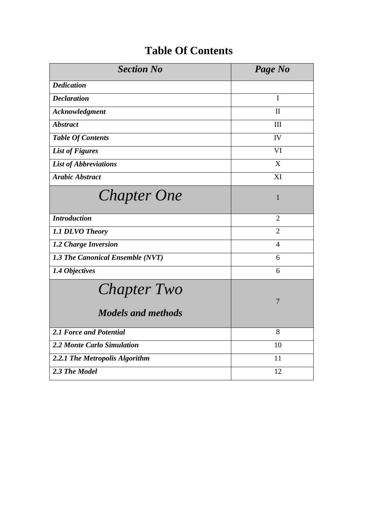### **Table Of Contents**

| <b>Section No</b>                               | Page No        |
|-------------------------------------------------|----------------|
| <b>Dedication</b>                               |                |
| <b>Declaration</b>                              | $\mathbf I$    |
| <b>Acknowledgment</b>                           | $\mathbf{I}$   |
| <b>Abstract</b>                                 | IΙI            |
| <b>Table Of Contents</b>                        | IV             |
| <b>List of Figures</b>                          | VI             |
| <b>List of Abbreviations</b>                    | X              |
| <b>Arabic Abstract</b>                          | XI             |
| <b>Chapter One</b>                              | 1              |
| <b>Introduction</b>                             | $\overline{2}$ |
| 1.1 DLVO Theory                                 | $\overline{2}$ |
| 1.2 Charge Inversion                            | 4              |
| 1.3 The Canonical Ensemble (NVT)                | 6              |
| 1.4 Objectives                                  | 6              |
| <b>Chapter Two</b><br><b>Models and methods</b> | $\overline{7}$ |
| <b>2.1 Force and Potential</b>                  | 8              |
| 2.2 Monte Carlo Simulation                      | 10             |
| 2.2.1 The Metropolis Algorithm                  | 11             |
| 2.3 The Model                                   | 12             |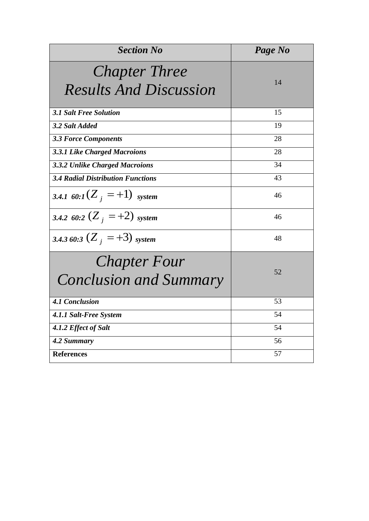| <b>Section No</b>                                     | Page No |
|-------------------------------------------------------|---------|
| <b>Chapter Three</b><br><b>Results And Discussion</b> | 14      |
| <b>3.1 Salt Free Solution</b>                         | 15      |
| 3.2 Salt Added                                        | 19      |
| <b>3.3 Force Components</b>                           | 28      |
| <b>3.3.1 Like Charged Macroions</b>                   | 28      |
| <b>3.3.2 Unlike Charged Macroions</b>                 | 34      |
| <b>3.4 Radial Distribution Functions</b>              | 43      |
| 3.4.1 60:1 $(Z_i = +1)$ system                        | 46      |
| 3.4.2 60:2 $(Z_i = +2)$ system                        | 46      |
| 3.4.3 60:3 $(Z_i = +3)$ system                        | 48      |
| <b>Chapter Four</b><br><b>Conclusion and Summary</b>  | 52      |
| <b>4.1 Conclusion</b>                                 | 53      |
| 4.1.1 Salt-Free System                                | 54      |
| 4.1.2 Effect of Salt                                  | 54      |
| 4.2 Summary                                           | 56      |
| <b>References</b>                                     | 57      |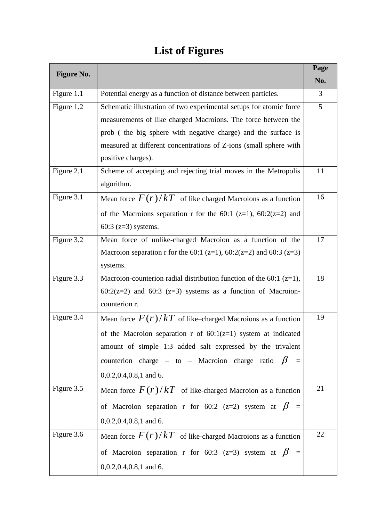## **List of Figures**

| <b>Figure No.</b> |                                                                         | Page |
|-------------------|-------------------------------------------------------------------------|------|
|                   |                                                                         | No.  |
| Figure 1.1        | Potential energy as a function of distance between particles.           | 3    |
| Figure 1.2        | Schematic illustration of two experimental setups for atomic force      | 5    |
|                   | measurements of like charged Macroions. The force between the           |      |
|                   | prob (the big sphere with negative charge) and the surface is           |      |
|                   | measured at different concentrations of Z-ions (small sphere with       |      |
|                   | positive charges).                                                      |      |
| Figure 2.1        | Scheme of accepting and rejecting trial moves in the Metropolis         | 11   |
|                   | algorithm.                                                              |      |
| Figure 3.1        | Mean force $F(r)/kT$ of like charged Macroions as a function            | 16   |
|                   | of the Macroions separation r for the 60:1 ( $z=1$ ), 60:2( $z=2$ ) and |      |
|                   | 60:3 $(z=3)$ systems.                                                   |      |
| Figure 3.2        | Mean force of unlike-charged Macroion as a function of the              | 17   |
|                   | Macroion separation r for the 60:1 (z=1), 60:2(z=2) and 60:3 (z=3)      |      |
|                   | systems.                                                                |      |
| Figure 3.3        | Macroion-counterion radial distribution function of the 60:1 $(z=1)$ ,  | 18   |
|                   | $60:2(z=2)$ and $60:3(z=3)$ systems as a function of Macroion-          |      |
|                   | counterion r.                                                           |      |
| Figure 3.4        | Mean force $F(r)/kT$ of like–charged Macroions as a function            | 19   |
|                   | of the Macroion separation r of $60:1(z=1)$ system at indicated         |      |
|                   | amount of simple 1:3 added salt expressed by the trivalent              |      |
|                   | counterion charge – to – Macroion charge ratio $\beta$ =                |      |
|                   | $0,0.2,0.4,0.8,1$ and 6.                                                |      |
| Figure 3.5        | Mean force $F(r)/kT$ of like-charged Macroion as a function             | 21   |
|                   | of Macroion separation r for 60:2 (z=2) system at $\beta$ =             |      |
|                   | $0,0.2,0.4,0.8,1$ and 6.                                                |      |
| Figure 3.6        | Mean force $F(r)/kT$ of like-charged Macroions as a function            | 22   |
|                   | of Macroion separation r for 60:3 (z=3) system at $\beta$ =             |      |
|                   | $0,0.2,0.4,0.8,1$ and 6.                                                |      |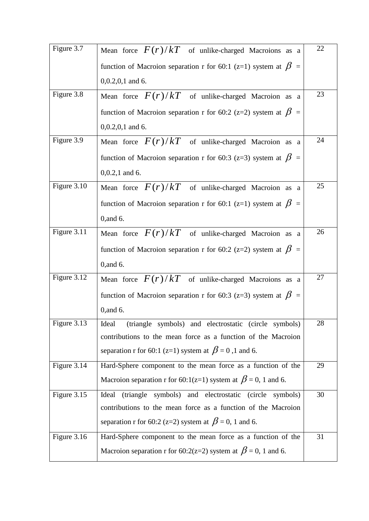| Figure 3.7  | Mean force $F(r)/kT$ of unlike-charged Macroions as a                | 22 |
|-------------|----------------------------------------------------------------------|----|
|             | function of Macroion separation r for 60:1 (z=1) system at $\beta$ = |    |
|             | $0,0.2,0,1$ and 6.                                                   |    |
| Figure 3.8  | Mean force $F(r)/kT$ of unlike-charged Macroion as a                 | 23 |
|             | function of Macroion separation r for 60:2 (z=2) system at $\beta$ = |    |
|             | $0,0.2,0,1$ and 6.                                                   |    |
| Figure 3.9  | Mean force $F(r)/kT$ of unlike-charged Macroion as a                 | 24 |
|             | function of Macroion separation r for 60:3 (z=3) system at $\beta$ = |    |
|             | $0,0.2,1$ and 6.                                                     |    |
| Figure 3.10 | Mean force $F(r)/kT$ of unlike-charged Macroion as a                 | 25 |
|             | function of Macroion separation r for 60:1 (z=1) system at $\beta$ = |    |
|             | $0$ , and 6.                                                         |    |
| Figure 3.11 | Mean force $F(r)/kT$ of unlike-charged Macroion as a                 | 26 |
|             | function of Macroion separation r for 60:2 (z=2) system at $\beta$ = |    |
|             | $0$ , and 6.                                                         |    |
| Figure 3.12 | Mean force $F(r)/kT$ of unlike-charged Macroions as a                | 27 |
|             | function of Macroion separation r for 60:3 (z=3) system at $\beta$ = |    |
|             | $0$ , and 6.                                                         |    |
| Figure 3.13 | (triangle symbols) and electrostatic (circle symbols)<br>Ideal       | 28 |
|             | contributions to the mean force as a function of the Macroion        |    |
|             | separation r for 60:1 (z=1) system at $\beta$ = 0,1 and 6.           |    |
| Figure 3.14 | Hard-Sphere component to the mean force as a function of the         | 29 |
|             | Macroion separation r for 60:1(z=1) system at $\beta$ = 0, 1 and 6.  |    |
| Figure 3.15 | (triangle symbols) and electrostatic (circle<br>Ideal<br>symbols)    | 30 |
|             | contributions to the mean force as a function of the Macroion        |    |
|             | separation r for 60:2 (z=2) system at $\beta$ = 0, 1 and 6.          |    |
| Figure 3.16 | Hard-Sphere component to the mean force as a function of the         | 31 |
|             | Macroion separation r for 60:2(z=2) system at $\beta$ = 0, 1 and 6.  |    |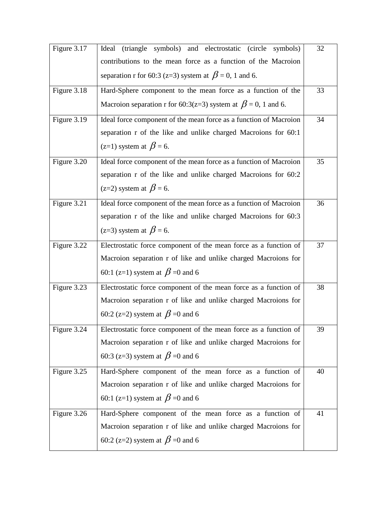| Figure 3.17   | (triangle symbols) and electrostatic (circle<br>Ideal<br>symbols)   | 32 |
|---------------|---------------------------------------------------------------------|----|
|               | contributions to the mean force as a function of the Macroion       |    |
|               | separation r for 60:3 (z=3) system at $\beta$ = 0, 1 and 6.         |    |
| Figure $3.18$ | Hard-Sphere component to the mean force as a function of the        | 33 |
|               | Macroion separation r for 60:3(z=3) system at $\beta$ = 0, 1 and 6. |    |
| Figure 3.19   | Ideal force component of the mean force as a function of Macroion   | 34 |
|               | separation r of the like and unlike charged Macroions for 60:1      |    |
|               | $(z=1)$ system at $\beta = 6$ .                                     |    |
| Figure 3.20   | Ideal force component of the mean force as a function of Macroion   | 35 |
|               | separation r of the like and unlike charged Macroions for 60:2      |    |
|               | (z=2) system at $\beta$ = 6.                                        |    |
| Figure 3.21   | Ideal force component of the mean force as a function of Macroion   | 36 |
|               | separation r of the like and unlike charged Macroions for 60:3      |    |
|               | (z=3) system at $\beta$ = 6.                                        |    |
| Figure 3.22   | Electrostatic force component of the mean force as a function of    | 37 |
|               | Macroion separation r of like and unlike charged Macroions for      |    |
|               | 60:1 (z=1) system at $\beta$ =0 and 6                               |    |
| Figure 3.23   | Electrostatic force component of the mean force as a function of    | 38 |
|               | Macroion separation r of like and unlike charged Macroions for      |    |
|               | 60:2 (z=2) system at $\beta$ =0 and 6                               |    |
| Figure 3.24   | Electrostatic force component of the mean force as a function of    | 39 |
|               | Macroion separation r of like and unlike charged Macroions for      |    |
|               | 60:3 (z=3) system at $\beta$ =0 and 6                               |    |
| Figure 3.25   | Hard-Sphere component of the mean force as a function of            | 40 |
|               | Macroion separation r of like and unlike charged Macroions for      |    |
|               | 60:1 (z=1) system at $\beta$ =0 and 6                               |    |
| Figure 3.26   | Hard-Sphere component of the mean force as a function of            | 41 |
|               | Macroion separation r of like and unlike charged Macroions for      |    |
|               | 60:2 (z=2) system at $\beta$ =0 and 6                               |    |
|               |                                                                     |    |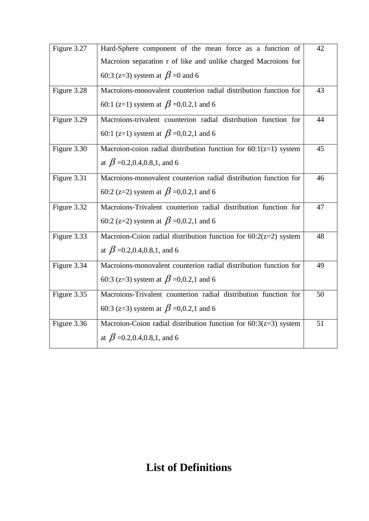| Figure 3.27 | Hard-Sphere component of the mean force as a function of           | 42 |
|-------------|--------------------------------------------------------------------|----|
|             | Macroion separation r of like and unlike charged Macroions for     |    |
|             | 60:3 (z=3) system at $\beta$ =0 and 6                              |    |
|             |                                                                    |    |
| Figure 3.28 | Macroions-monovalent counterion radial distribution function for   | 43 |
|             | 60:1 (z=1) system at $\beta$ =0,0.2,1 and 6                        |    |
| Figure 3.29 | Macroions-trivalent counterion radial distribution function for    | 44 |
|             | 60:1 (z=1) system at $\beta$ =0,0.2,1 and 6                        |    |
| Figure 3.30 | Macroion-coion radial distribution function for $60:1(z=1)$ system | 45 |
|             | at $\beta$ =0.2,0.4,0.8,1, and 6                                   |    |
|             |                                                                    |    |
| Figure 3.31 | Macroions-monovalent counterion radial distribution function for   | 46 |
|             | 60:2 (z=2) system at $\beta$ =0,0.2,1 and 6                        |    |
| Figure 3.32 | Macroions-Trivalent counterion radial distribution function for    | 47 |
|             | 60:2 (z=2) system at $\beta$ =0,0.2,1 and 6                        |    |
| Figure 3.33 | Macroion-Coion radial distribution function for $60:2(z=2)$ system | 48 |
|             | at $\beta$ =0.2,0.4,0.8,1, and 6                                   |    |
| Figure 3.34 | Macroions-monovalent counterion radial distribution function for   | 49 |
|             | 60:3 (z=3) system at $\beta$ =0,0.2,1 and 6                        |    |
|             |                                                                    |    |
| Figure 3.35 | Macroions-Trivalent counterion radial distribution function for    | 50 |
|             | 60:3 (z=3) system at $\beta$ =0,0.2,1 and 6                        |    |
| Figure 3.36 | Macroion-Coion radial distribution function for $60:3(z=3)$ system | 51 |
|             | at $\beta$ =0.2,0.4,0.8,1, and 6                                   |    |
|             |                                                                    |    |

## **List of Definitions**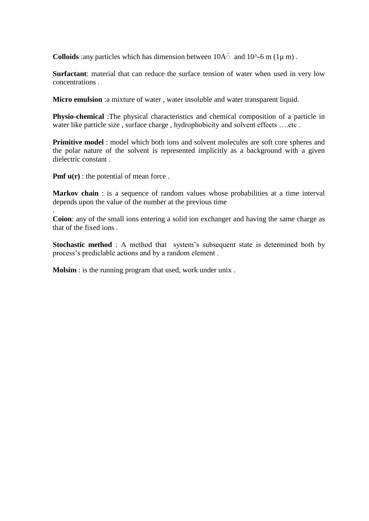**Colloids** :any particles which has dimension between  $10A^{\dagger}$  and  $10^{\circ}$ -6 m (1 $\mu$  m).

**Surfactant**: material that can reduce the surface tension of water when used in very low concentrations .

**Micro emulsion** :a mixture of water , water insoluble and water transparent liquid.

**Physio-chemical** :The physical characteristics and chemical composition of a particle in water like particle size, surface charge, hydrophobicity and solvent effects ....etc.

**Primitive model** : model which both ions and solvent molecules are soft core spheres and the polar nature of the solvent is represented implicitly as a background with a given dielectric constant .

**Pmf**  $u(r)$  : the potential of mean force.

.

**Markov chain** : is a sequence of random values whose probabilities at a time interval depends upon the value of the number at the previous time

**Coion**: any of the small ions entering a solid ion exchanger and having the same charge as that of the fixed ions .

**Stochastic method** : A method that system's subsequent state is determined both by process's prediclable actions and by a random element .

**Molsim**: is the running program that used, work under unix.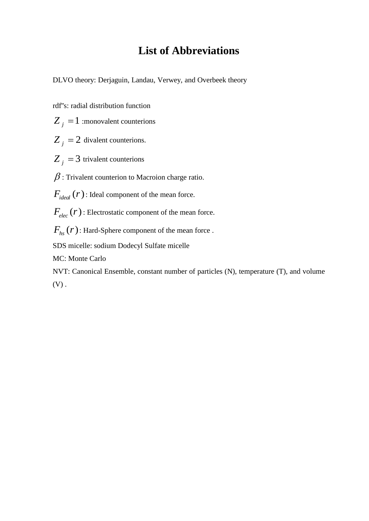### **List of Abbreviations**

DLVO theory: Derjaguin, Landau, Verwey, and Overbeek theory

rdf''s: radial distribution function

 $Z_j = 1$  :monovalent counterions

 $Z_j = 2$  divalent counterions.

 $Z_j = 3$  trivalent counterions

 $\beta$  : Trivalent counterion to Macroion charge ratio.

 $F_{ideal}(r)$ : Ideal component of the mean force.

 $F_{elec}$   $(r)$ : Electrostatic component of the mean force.

 $F_{hs} (r)$ : Hard-Sphere component of the mean force .

SDS micelle: sodium Dodecyl Sulfate micelle

MC: Monte Carlo

NVT: Canonical Ensemble, constant number of particles (N), temperature (T), and volume  $(V)$ .